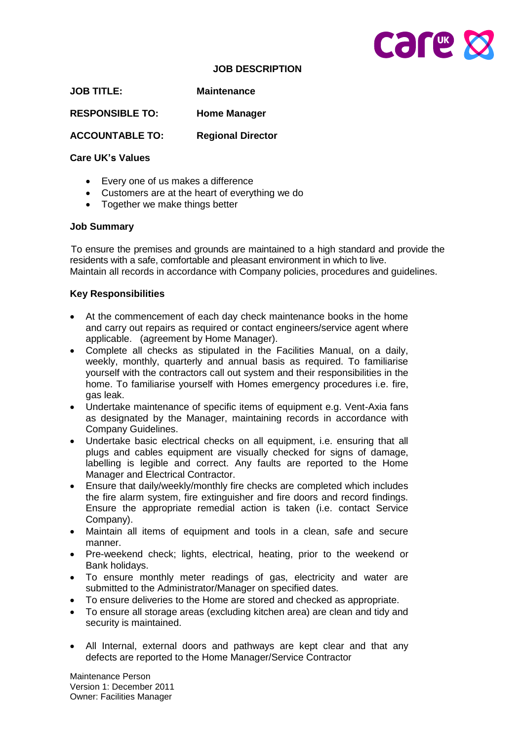

#### **JOB DESCRIPTION**

**JOB TITLE: Maintenance**

**RESPONSIBLE TO: Home Manager** 

**ACCOUNTABLE TO: Regional Director** 

## **Care UK's Values**

- Every one of us makes a difference
- Customers are at the heart of everything we do
- Together we make things better

## **Job Summary**

 To ensure the premises and grounds are maintained to a high standard and provide the residents with a safe, comfortable and pleasant environment in which to live. Maintain all records in accordance with Company policies, procedures and guidelines.

## **Key Responsibilities**

- At the commencement of each day check maintenance books in the home and carry out repairs as required or contact engineers/service agent where applicable. (agreement by Home Manager).
- Complete all checks as stipulated in the Facilities Manual, on a daily, weekly, monthly, quarterly and annual basis as required. To familiarise yourself with the contractors call out system and their responsibilities in the home. To familiarise yourself with Homes emergency procedures i.e. fire, gas leak.
- Undertake maintenance of specific items of equipment e.g. Vent-Axia fans as designated by the Manager, maintaining records in accordance with Company Guidelines.
- Undertake basic electrical checks on all equipment, i.e. ensuring that all plugs and cables equipment are visually checked for signs of damage, labelling is legible and correct. Any faults are reported to the Home Manager and Electrical Contractor.
- Ensure that daily/weekly/monthly fire checks are completed which includes the fire alarm system, fire extinguisher and fire doors and record findings. Ensure the appropriate remedial action is taken (i.e. contact Service Company).
- Maintain all items of equipment and tools in a clean, safe and secure manner.
- Pre-weekend check; lights, electrical, heating, prior to the weekend or Bank holidays.
- To ensure monthly meter readings of gas, electricity and water are submitted to the Administrator/Manager on specified dates.
- To ensure deliveries to the Home are stored and checked as appropriate.
- To ensure all storage areas (excluding kitchen area) are clean and tidy and security is maintained.
- All Internal, external doors and pathways are kept clear and that any defects are reported to the Home Manager/Service Contractor

Maintenance Person Version 1: December 2011 Owner: Facilities Manager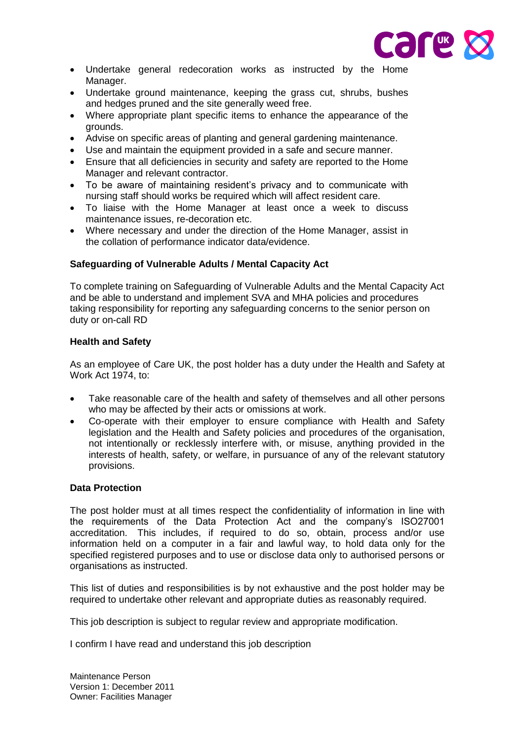

- Undertake general redecoration works as instructed by the Home Manager.
- Undertake ground maintenance, keeping the grass cut, shrubs, bushes and hedges pruned and the site generally weed free.
- Where appropriate plant specific items to enhance the appearance of the grounds.
- Advise on specific areas of planting and general gardening maintenance.
- Use and maintain the equipment provided in a safe and secure manner.
- Ensure that all deficiencies in security and safety are reported to the Home Manager and relevant contractor.
- To be aware of maintaining resident's privacy and to communicate with nursing staff should works be required which will affect resident care.
- To liaise with the Home Manager at least once a week to discuss maintenance issues, re-decoration etc.
- Where necessary and under the direction of the Home Manager, assist in the collation of performance indicator data/evidence.

## **Safeguarding of Vulnerable Adults / Mental Capacity Act**

To complete training on Safeguarding of Vulnerable Adults and the Mental Capacity Act and be able to understand and implement SVA and MHA policies and procedures taking responsibility for reporting any safeguarding concerns to the senior person on duty or on-call RD

#### **Health and Safety**

As an employee of Care UK, the post holder has a duty under the Health and Safety at Work Act 1974, to:

- Take reasonable care of the health and safety of themselves and all other persons who may be affected by their acts or omissions at work.
- Co-operate with their employer to ensure compliance with Health and Safety legislation and the Health and Safety policies and procedures of the organisation, not intentionally or recklessly interfere with, or misuse, anything provided in the interests of health, safety, or welfare, in pursuance of any of the relevant statutory provisions.

#### **Data Protection**

The post holder must at all times respect the confidentiality of information in line with the requirements of the Data Protection Act and the company's ISO27001 accreditation. This includes, if required to do so, obtain, process and/or use information held on a computer in a fair and lawful way, to hold data only for the specified registered purposes and to use or disclose data only to authorised persons or organisations as instructed.

This list of duties and responsibilities is by not exhaustive and the post holder may be required to undertake other relevant and appropriate duties as reasonably required.

This job description is subject to regular review and appropriate modification.

I confirm I have read and understand this job description

Maintenance Person Version 1: December 2011 Owner: Facilities Manager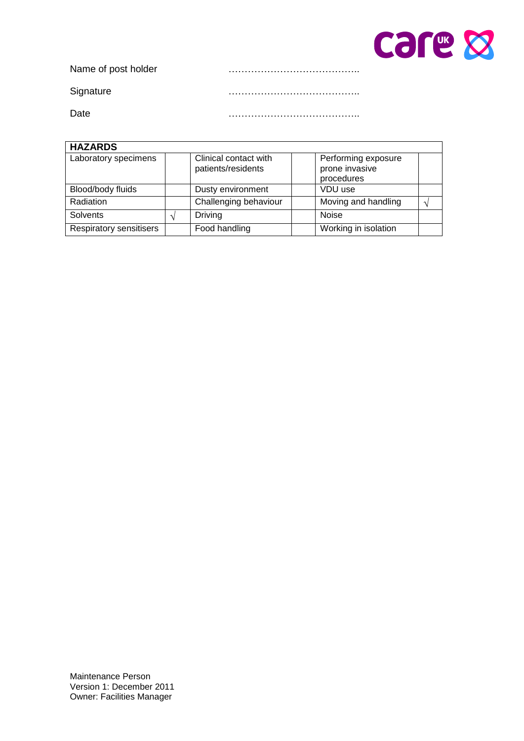

Name of post holder **manufacture manufacture manufacture manufacture manufacture manufacture manufacture** 

Signature …………………………………..

Date …………………………………..

| <b>HAZARDS</b>          |  |                                             |                                                     |  |  |
|-------------------------|--|---------------------------------------------|-----------------------------------------------------|--|--|
| Laboratory specimens    |  | Clinical contact with<br>patients/residents | Performing exposure<br>prone invasive<br>procedures |  |  |
| Blood/body fluids       |  | Dusty environment                           | VDU use                                             |  |  |
| Radiation               |  | Challenging behaviour                       | Moving and handling                                 |  |  |
| <b>Solvents</b>         |  | Driving                                     | <b>Noise</b>                                        |  |  |
| Respiratory sensitisers |  | Food handling                               | Working in isolation                                |  |  |